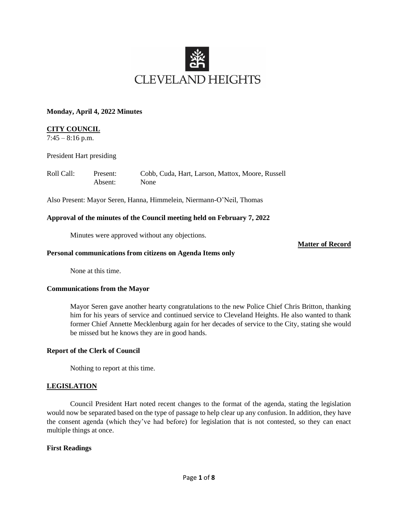

### **Monday, April 4, 2022 Minutes**

## **CITY COUNCIL**

 $7:45 - 8:16$  p.m.

President Hart presiding

| Roll Call: | Present: | Cobb, Cuda, Hart, Larson, Mattox, Moore, Russell |
|------------|----------|--------------------------------------------------|
|            | Absent:  | None                                             |

Also Present: Mayor Seren, Hanna, Himmelein, Niermann-O'Neil, Thomas

### **Approval of the minutes of the Council meeting held on February 7, 2022**

Minutes were approved without any objections.

**Matter of Record**

### **Personal communications from citizens on Agenda Items only**

None at this time.

## **Communications from the Mayor**

Mayor Seren gave another hearty congratulations to the new Police Chief Chris Britton, thanking him for his years of service and continued service to Cleveland Heights. He also wanted to thank former Chief Annette Mecklenburg again for her decades of service to the City, stating she would be missed but he knows they are in good hands.

### **Report of the Clerk of Council**

Nothing to report at this time.

### **LEGISLATION**

Council President Hart noted recent changes to the format of the agenda, stating the legislation would now be separated based on the type of passage to help clear up any confusion. In addition, they have the consent agenda (which they've had before) for legislation that is not contested, so they can enact multiple things at once.

### **First Readings**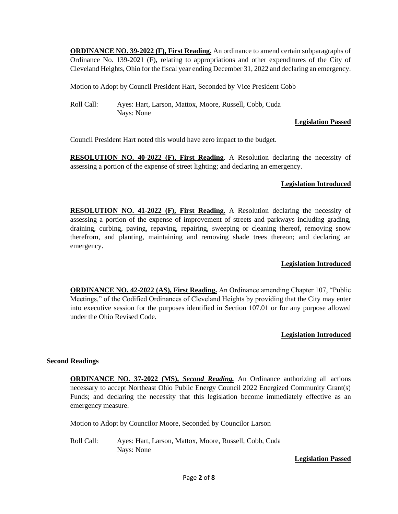**ORDINANCE NO. 39-2022 (F), First Reading.** An ordinance to amend certain subparagraphs of Ordinance No. 139-2021 (F), relating to appropriations and other expenditures of the City of Cleveland Heights, Ohio for the fiscal year ending December 31, 2022 and declaring an emergency.

Motion to Adopt by Council President Hart, Seconded by Vice President Cobb

Roll Call: Ayes: Hart, Larson, Mattox, Moore, Russell, Cobb, Cuda Nays: None

## **Legislation Passed**

Council President Hart noted this would have zero impact to the budget.

**RESOLUTION NO. 40-2022 (F), First Reading**. A Resolution declaring the necessity of assessing a portion of the expense of street lighting; and declaring an emergency.

# **Legislation Introduced**

**RESOLUTION NO. 41-2022 (F), First Reading.** A Resolution declaring the necessity of assessing a portion of the expense of improvement of streets and parkways including grading, draining, curbing, paving, repaving, repairing, sweeping or cleaning thereof, removing snow therefrom, and planting, maintaining and removing shade trees thereon; and declaring an emergency.

# **Legislation Introduced**

**ORDINANCE NO. 42-2022 (AS), First Reading.** An Ordinance amending Chapter 107, "Public Meetings," of the Codified Ordinances of Cleveland Heights by providing that the City may enter into executive session for the purposes identified in Section 107.01 or for any purpose allowed under the Ohio Revised Code.

## **Legislation Introduced**

## **Second Readings**

**ORDINANCE NO. 37-2022 (MS),** *Second Reading.* An Ordinance authorizing all actions necessary to accept Northeast Ohio Public Energy Council 2022 Energized Community Grant(s) Funds; and declaring the necessity that this legislation become immediately effective as an emergency measure.

Motion to Adopt by Councilor Moore, Seconded by Councilor Larson

Roll Call: Ayes: Hart, Larson, Mattox, Moore, Russell, Cobb, Cuda Nays: None

## **Legislation Passed**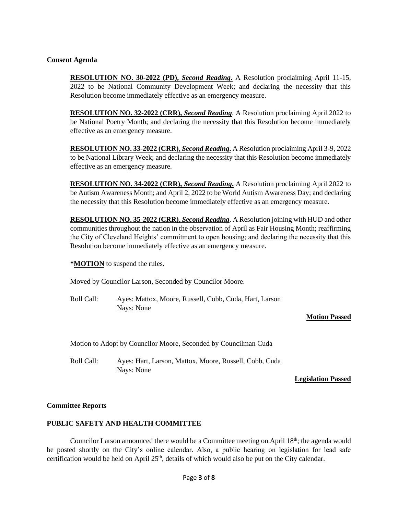### **Consent Agenda**

**RESOLUTION NO. 30-2022 (PD),** *Second Reading***.** A Resolution proclaiming April 11-15, 2022 to be National Community Development Week; and declaring the necessity that this Resolution become immediately effective as an emergency measure.

**RESOLUTION NO. 32-2022 (CRR),** *Second Reading*. A Resolution proclaiming April 2022 to be National Poetry Month; and declaring the necessity that this Resolution become immediately effective as an emergency measure.

**RESOLUTION NO. 33-2022 (CRR),** *Second Reading***.** A Resolution proclaiming April 3-9, 2022 to be National Library Week; and declaring the necessity that this Resolution become immediately effective as an emergency measure.

**RESOLUTION NO. 34-2022 (CRR),** *Second Reading***.** A Resolution proclaiming April 2022 to be Autism Awareness Month; and April 2, 2022 to be World Autism Awareness Day; and declaring the necessity that this Resolution become immediately effective as an emergency measure.

**RESOLUTION NO. 35-2022 (CRR),** *Second Reading*. A Resolution joining with HUD and other communities throughout the nation in the observation of April as Fair Housing Month; reaffirming the City of Cleveland Heights' commitment to open housing; and declaring the necessity that this Resolution become immediately effective as an emergency measure.

**\*MOTION** to suspend the rules.

Moved by Councilor Larson, Seconded by Councilor Moore.

Roll Call: Ayes: Mattox, Moore, Russell, Cobb, Cuda, Hart, Larson Nays: None

**Motion Passed**

Motion to Adopt by Councilor Moore, Seconded by Councilman Cuda

Roll Call: Ayes: Hart, Larson, Mattox, Moore, Russell, Cobb, Cuda Nays: None

**Legislation Passed**

### **Committee Reports**

### **PUBLIC SAFETY AND HEALTH COMMITTEE**

Councilor Larson announced there would be a Committee meeting on April  $18<sup>th</sup>$ ; the agenda would be posted shortly on the City's online calendar. Also, a public hearing on legislation for lead safe certification would be held on April 25<sup>th</sup>, details of which would also be put on the City calendar.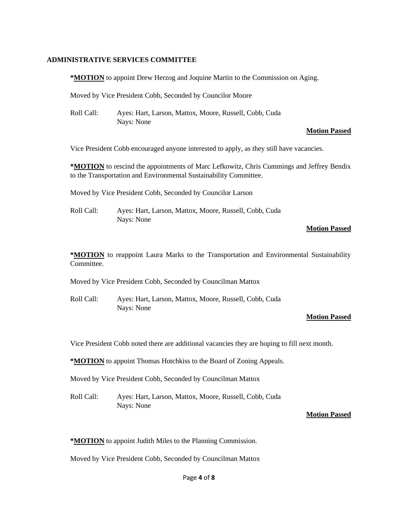### **ADMINISTRATIVE SERVICES COMMITTEE**

**\*MOTION** to appoint Drew Herzog and Joquine Martin to the Commission on Aging.

Moved by Vice President Cobb, Seconded by Councilor Moore

Roll Call: Ayes: Hart, Larson, Mattox, Moore, Russell, Cobb, Cuda Nays: None

#### **Motion Passed**

Vice President Cobb encouraged anyone interested to apply, as they still have vacancies.

**\*MOTION** to rescind the appointments of Marc Lefkowitz, Chris Cummings and Jeffrey Bendix to the Transportation and Environmental Sustainability Committee.

Moved by Vice President Cobb, Seconded by Councilor Larson

Roll Call: Ayes: Hart, Larson, Mattox, Moore, Russell, Cobb, Cuda Nays: None

# **Motion Passed**

**\*MOTION** to reappoint Laura Marks to the Transportation and Environmental Sustainability Committee.

Moved by Vice President Cobb, Seconded by Councilman Mattox

Roll Call: Ayes: Hart, Larson, Mattox, Moore, Russell, Cobb, Cuda Nays: None

#### **Motion Passed**

Vice President Cobb noted there are additional vacancies they are hoping to fill next month.

**\*MOTION** to appoint Thomas Hotchkiss to the Board of Zoning Appeals.

Moved by Vice President Cobb, Seconded by Councilman Mattox

Roll Call: Ayes: Hart, Larson, Mattox, Moore, Russell, Cobb, Cuda Nays: None

#### **Motion Passed**

**\*MOTION** to appoint Judith Miles to the Planning Commission.

Moved by Vice President Cobb, Seconded by Councilman Mattox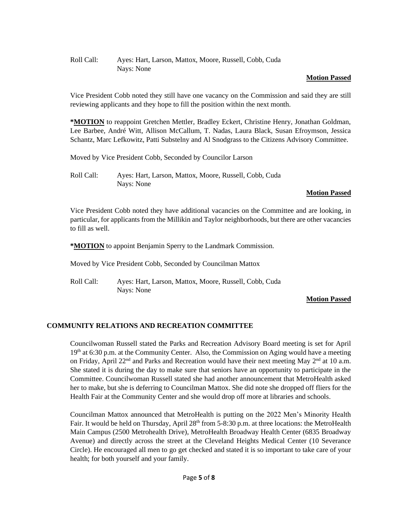## Roll Call: Ayes: Hart, Larson, Mattox, Moore, Russell, Cobb, Cuda Nays: None

## **Motion Passed**

Vice President Cobb noted they still have one vacancy on the Commission and said they are still reviewing applicants and they hope to fill the position within the next month.

**\*MOTION** to reappoint Gretchen Mettler, Bradley Eckert, Christine Henry, Jonathan Goldman, Lee Barbee, André Witt, Allison McCallum, T. Nadas, Laura Black, Susan Efroymson, Jessica Schantz, Marc Lefkowitz, Patti Substelny and Al Snodgrass to the Citizens Advisory Committee.

Moved by Vice President Cobb, Seconded by Councilor Larson

Roll Call: Ayes: Hart, Larson, Mattox, Moore, Russell, Cobb, Cuda Nays: None

## **Motion Passed**

Vice President Cobb noted they have additional vacancies on the Committee and are looking, in particular, for applicants from the Millikin and Taylor neighborhoods, but there are other vacancies to fill as well.

**\*MOTION** to appoint Benjamin Sperry to the Landmark Commission.

Moved by Vice President Cobb, Seconded by Councilman Mattox

Roll Call: Ayes: Hart, Larson, Mattox, Moore, Russell, Cobb, Cuda Nays: None

### **Motion Passed**

## **COMMUNITY RELATIONS AND RECREATION COMMITTEE**

Councilwoman Russell stated the Parks and Recreation Advisory Board meeting is set for April  $19<sup>th</sup>$  at 6:30 p.m. at the Community Center. Also, the Commission on Aging would have a meeting on Friday, April 22<sup>nd</sup> and Parks and Recreation would have their next meeting May 2<sup>nd</sup> at 10 a.m. She stated it is during the day to make sure that seniors have an opportunity to participate in the Committee. Councilwoman Russell stated she had another announcement that MetroHealth asked her to make, but she is deferring to Councilman Mattox. She did note she dropped off fliers for the Health Fair at the Community Center and she would drop off more at libraries and schools.

Councilman Mattox announced that MetroHealth is putting on the 2022 Men's Minority Health Fair. It would be held on Thursday, April  $28<sup>th</sup>$  from 5-8:30 p.m. at three locations: the MetroHealth Main Campus (2500 Metrohealth Drive), MetroHealth Broadway Health Center (6835 Broadway Avenue) and directly across the street at the Cleveland Heights Medical Center (10 Severance Circle). He encouraged all men to go get checked and stated it is so important to take care of your health; for both yourself and your family.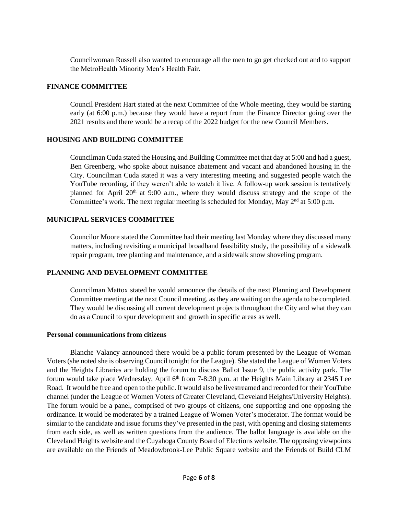Councilwoman Russell also wanted to encourage all the men to go get checked out and to support the MetroHealth Minority Men's Health Fair.

### **FINANCE COMMITTEE**

Council President Hart stated at the next Committee of the Whole meeting, they would be starting early (at 6:00 p.m.) because they would have a report from the Finance Director going over the 2021 results and there would be a recap of the 2022 budget for the new Council Members.

## **HOUSING AND BUILDING COMMITTEE**

Councilman Cuda stated the Housing and Building Committee met that day at 5:00 and had a guest, Ben Greenberg, who spoke about nuisance abatement and vacant and abandoned housing in the City. Councilman Cuda stated it was a very interesting meeting and suggested people watch the YouTube recording, if they weren't able to watch it live. A follow-up work session is tentatively planned for April 20<sup>th</sup> at 9:00 a.m., where they would discuss strategy and the scope of the Committee's work. The next regular meeting is scheduled for Monday, May  $2<sup>nd</sup>$  at 5:00 p.m.

# **MUNICIPAL SERVICES COMMITTEE**

Councilor Moore stated the Committee had their meeting last Monday where they discussed many matters, including revisiting a municipal broadband feasibility study, the possibility of a sidewalk repair program, tree planting and maintenance, and a sidewalk snow shoveling program.

## **PLANNING AND DEVELOPMENT COMMITTEE**

Councilman Mattox stated he would announce the details of the next Planning and Development Committee meeting at the next Council meeting, as they are waiting on the agenda to be completed. They would be discussing all current development projects throughout the City and what they can do as a Council to spur development and growth in specific areas as well.

### **Personal communications from citizens**

Blanche Valancy announced there would be a public forum presented by the League of Woman Voters (she noted she is observing Council tonight for the League). She stated the League of Women Voters and the Heights Libraries are holding the forum to discuss Ballot Issue 9, the public activity park. The forum would take place Wednesday, April 6<sup>th</sup> from 7-8:30 p.m. at the Heights Main Library at 2345 Lee Road. It would be free and open to the public. It would also be livestreamed and recorded for their YouTube channel (under the League of Women Voters of Greater Cleveland, Cleveland Heights/University Heights). The forum would be a panel, comprised of two groups of citizens, one supporting and one opposing the ordinance. It would be moderated by a trained League of Women Voter's moderator. The format would be similar to the candidate and issue forums they've presented in the past, with opening and closing statements from each side, as well as written questions from the audience. The ballot language is available on the Cleveland Heights website and the Cuyahoga County Board of Elections website. The opposing viewpoints are available on the Friends of Meadowbrook-Lee Public Square website and the Friends of Build CLM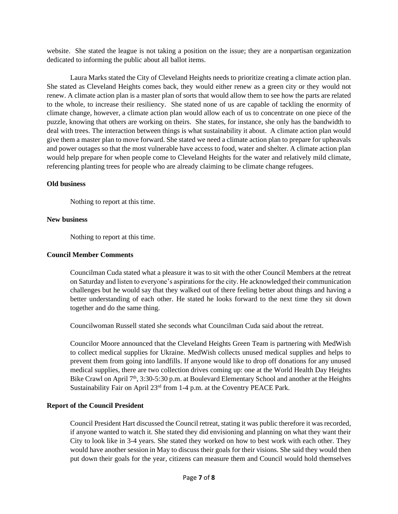website. She stated the league is not taking a position on the issue; they are a nonpartisan organization dedicated to informing the public about all ballot items.

Laura Marks stated the City of Cleveland Heights needs to prioritize creating a climate action plan. She stated as Cleveland Heights comes back, they would either renew as a green city or they would not renew. A climate action plan is a master plan of sorts that would allow them to see how the parts are related to the whole, to increase their resiliency. She stated none of us are capable of tackling the enormity of climate change, however, a climate action plan would allow each of us to concentrate on one piece of the puzzle, knowing that others are working on theirs. She states, for instance, she only has the bandwidth to deal with trees. The interaction between things is what sustainability it about. A climate action plan would give them a master plan to move forward. She stated we need a climate action plan to prepare for upheavals and power outages so that the most vulnerable have access to food, water and shelter. A climate action plan would help prepare for when people come to Cleveland Heights for the water and relatively mild climate, referencing planting trees for people who are already claiming to be climate change refugees.

## **Old business**

Nothing to report at this time.

## **New business**

Nothing to report at this time.

### **Council Member Comments**

Councilman Cuda stated what a pleasure it was to sit with the other Council Members at the retreat on Saturday and listen to everyone's aspirations for the city. He acknowledged their communication challenges but he would say that they walked out of there feeling better about things and having a better understanding of each other. He stated he looks forward to the next time they sit down together and do the same thing.

Councilwoman Russell stated she seconds what Councilman Cuda said about the retreat.

Councilor Moore announced that the Cleveland Heights Green Team is partnering with MedWish to collect medical supplies for Ukraine. MedWish collects unused medical supplies and helps to prevent them from going into landfills. If anyone would like to drop off donations for any unused medical supplies, there are two collection drives coming up: one at the World Health Day Heights Bike Crawl on April  $7<sup>th</sup>$ , 3:30-5:30 p.m. at Boulevard Elementary School and another at the Heights Sustainability Fair on April 23<sup>rd</sup> from 1-4 p.m. at the Coventry PEACE Park.

## **Report of the Council President**

Council President Hart discussed the Council retreat, stating it was public therefore it was recorded, if anyone wanted to watch it. She stated they did envisioning and planning on what they want their City to look like in 3-4 years. She stated they worked on how to best work with each other. They would have another session in May to discuss their goals for their visions. She said they would then put down their goals for the year, citizens can measure them and Council would hold themselves